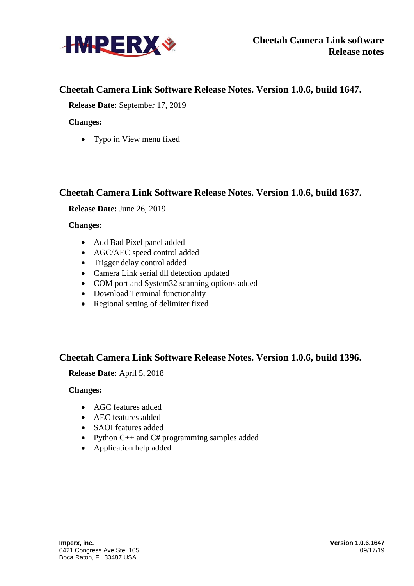

# **Cheetah Camera Link Software Release Notes. Version 1.0.6, build 1647.**

**Release Date:** September 17, 2019

## **Changes:**

• Typo in View menu fixed

# **Cheetah Camera Link Software Release Notes. Version 1.0.6, build 1637.**

**Release Date:** June 26, 2019

## **Changes:**

- Add Bad Pixel panel added
- AGC/AEC speed control added
- Trigger delay control added
- Camera Link serial dll detection updated
- COM port and System32 scanning options added
- Download Terminal functionality
- Regional setting of delimiter fixed

# **Cheetah Camera Link Software Release Notes. Version 1.0.6, build 1396.**

## **Release Date:** April 5, 2018

## **Changes:**

- AGC features added
- AEC features added
- SAOI features added
- Python C++ and C# programming samples added
- Application help added